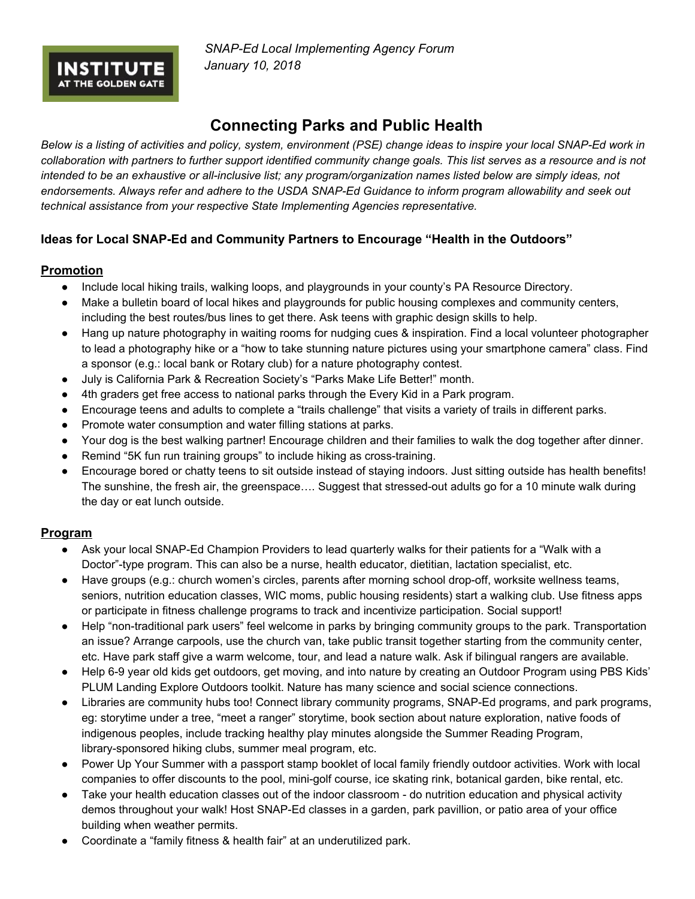*SNAP-Ed Local Implementing Agency Forum January 10, 2018*

# **Connecting Parks and Public Health**

Below is a listing of activities and policy, system, environment (PSE) change ideas to inspire your local SNAP-Ed work in collaboration with partners to further support identified community change goals. This list serves as a resource and is not intended to be an exhaustive or all-inclusive list; any program/organization names listed below are simply ideas, not endorsements. Always refer and adhere to the USDA SNAP-Ed Guidance to inform program allowability and seek out *technical assistance from your respective State Implementing Agencies representative.*

## **Ideas for Local SNAP-Ed and Community Partners to Encourage "Health in the Outdoors"**

#### **Promotion**

**INSTITUTE** 

- Include local hiking trails, walking loops, and playgrounds in your county's PA Resource Directory.
- Make a bulletin board of local hikes and playgrounds for public housing complexes and community centers, including the best routes/bus lines to get there. Ask teens with graphic design skills to help.
- Hang up nature photography in waiting rooms for nudging cues & inspiration. Find a local volunteer photographer to lead a photography hike or a "how to take stunning nature pictures using your smartphone camera" class. Find a sponsor (e.g.: local bank or Rotary club) for a nature photography contest.
- July is California Park & Recreation Society's "Parks Make Life Better!" month.
- 4th graders get free access to national parks through the Every Kid in a Park program.
- Encourage teens and adults to complete a "trails challenge" that visits a variety of trails in different parks.
- Promote water consumption and water filling stations at parks.
- Your dog is the best walking partner! Encourage children and their families to walk the dog together after dinner.
- Remind "5K fun run training groups" to include hiking as cross-training.
- Encourage bored or chatty teens to sit outside instead of staying indoors. Just sitting outside has health benefits! The sunshine, the fresh air, the greenspace…. Suggest that stressed-out adults go for a 10 minute walk during the day or eat lunch outside.

#### **Program**

- Ask your local SNAP-Ed Champion Providers to lead quarterly walks for their patients for a "Walk with a Doctor"-type program. This can also be a nurse, health educator, dietitian, lactation specialist, etc.
- Have groups (e.g.: church women's circles, parents after morning school drop-off, worksite wellness teams, seniors, nutrition education classes, WIC moms, public housing residents) start a walking club. Use fitness apps or participate in fitness challenge programs to track and incentivize participation. Social support!
- Help "non-traditional park users" feel welcome in parks by bringing community groups to the park. Transportation an issue? Arrange carpools, use the church van, take public transit together starting from the community center, etc. Have park staff give a warm welcome, tour, and lead a nature walk. Ask if bilingual rangers are available.
- Help 6-9 year old kids get outdoors, get moving, and into nature by creating an Outdoor Program using PBS Kids' PLUM Landing Explore Outdoors toolkit. Nature has many science and social science connections.
- Libraries are community hubs too! Connect library community programs, SNAP-Ed programs, and park programs, eg: storytime under a tree, "meet a ranger" storytime, book section about nature exploration, native foods of indigenous peoples, include tracking healthy play minutes alongside the Summer Reading Program, library-sponsored hiking clubs, summer meal program, etc.
- Power Up Your Summer with a passport stamp booklet of local family friendly outdoor activities. Work with local companies to offer discounts to the pool, mini-golf course, ice skating rink, botanical garden, bike rental, etc.
- Take your health education classes out of the indoor classroom do nutrition education and physical activity demos throughout your walk! Host SNAP-Ed classes in a garden, park pavillion, or patio area of your office building when weather permits.
- Coordinate a "family fitness & health fair" at an underutilized park.